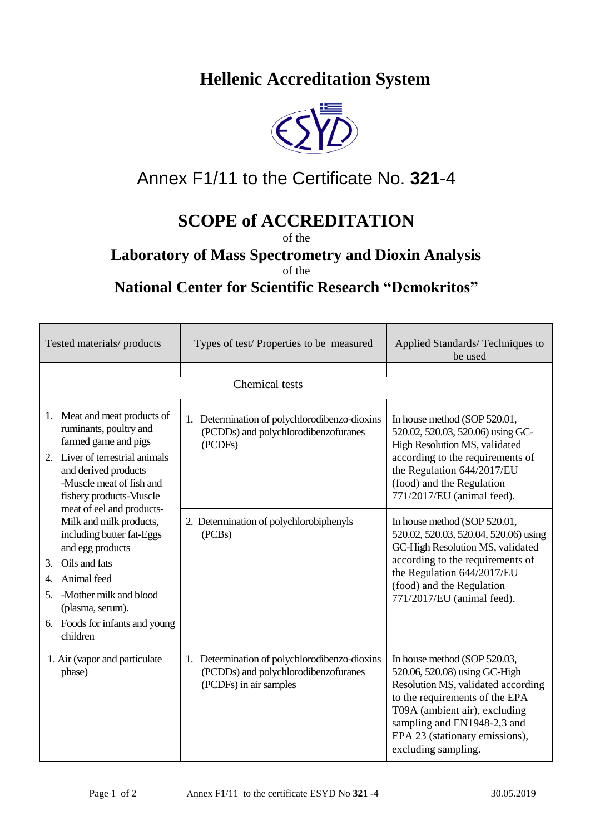## **Hellenic Accreditation System**



## Annex F1/11 to the Certificate No. **321**-4

## **SCOPE of ACCREDITATION**

of the

## **Laboratory of Mass Spectrometry and Dioxin Analysis**

of the

**National Center for Scientific Research "Demokritos"** 

| Tested materials/ products                                                                                                                                                                                                                                                                                                                                                                                                                                 | Types of test/Properties to be measured                                                                         | Applied Standards/Techniques to<br>be used                                                                                                                                                                                                                     |  |  |
|------------------------------------------------------------------------------------------------------------------------------------------------------------------------------------------------------------------------------------------------------------------------------------------------------------------------------------------------------------------------------------------------------------------------------------------------------------|-----------------------------------------------------------------------------------------------------------------|----------------------------------------------------------------------------------------------------------------------------------------------------------------------------------------------------------------------------------------------------------------|--|--|
| Chemical tests                                                                                                                                                                                                                                                                                                                                                                                                                                             |                                                                                                                 |                                                                                                                                                                                                                                                                |  |  |
| 1. Meat and meat products of<br>ruminants, poultry and<br>farmed game and pigs<br>Liver of terrestrial animals<br>2.<br>and derived products<br>-Muscle meat of fish and<br>fishery products-Muscle<br>meat of eel and products-<br>Milk and milk products,<br>including butter fat-Eggs<br>and egg products<br>Oils and fats<br>3.<br>Animal feed<br>4.<br>-Mother milk and blood<br>5.<br>(plasma, serum).<br>6. Foods for infants and young<br>children | 1. Determination of polychlorodibenzo-dioxins<br>(PCDDs) and polychlorodibenzofuranes<br>(PCDFs)                | In house method (SOP 520.01,<br>520.02, 520.03, 520.06) using GC-<br>High Resolution MS, validated<br>according to the requirements of<br>the Regulation 644/2017/EU<br>(food) and the Regulation<br>771/2017/EU (animal feed).                                |  |  |
|                                                                                                                                                                                                                                                                                                                                                                                                                                                            | 2. Determination of polychlorobiphenyls<br>(PCBs)                                                               | In house method (SOP 520.01,<br>520.02, 520.03, 520.04, 520.06) using<br>GC-High Resolution MS, validated<br>according to the requirements of<br>the Regulation 644/2017/EU<br>(food) and the Regulation<br>771/2017/EU (animal feed).                         |  |  |
| 1. Air (vapor and particulate<br>phase)                                                                                                                                                                                                                                                                                                                                                                                                                    | 1. Determination of polychlorodibenzo-dioxins<br>(PCDDs) and polychlorodibenzofuranes<br>(PCDFs) in air samples | In house method (SOP 520.03,<br>520.06, 520.08) using GC-High<br>Resolution MS, validated according<br>to the requirements of the EPA<br>T09A (ambient air), excluding<br>sampling and EN1948-2,3 and<br>EPA 23 (stationary emissions),<br>excluding sampling. |  |  |